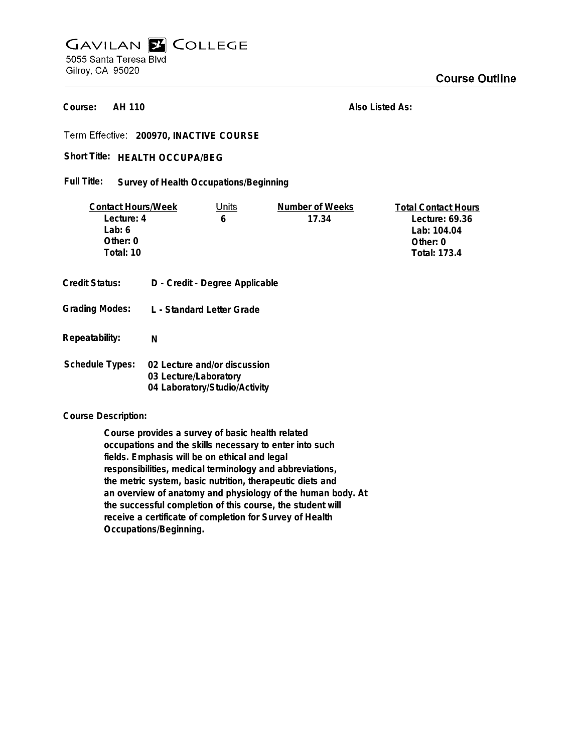## **GAVILAN E COLLEGE** 5055 Santa Teresa Blvd Gilroy, CA 95020

**AH 110 Course:**

**Also Listed As:**

**200970, INACTIVE COURSE**

Short Title: HEALTH OCCUPA/BEG

**Survey of Health Occupations/Beginning Full Title:**

| <b>Contact Hours/Week</b> |                                                                                        | Units                          | Number of Weeks | <b>Total Contact Hours</b> |
|---------------------------|----------------------------------------------------------------------------------------|--------------------------------|-----------------|----------------------------|
| Lecture: 4                |                                                                                        | 6                              | 17.34           | Lecture: 69.36             |
| Lab: 6                    |                                                                                        |                                |                 | Lab: 104.04                |
| Other: 0                  |                                                                                        |                                |                 | Other: $0$                 |
| Total: 10                 |                                                                                        |                                |                 | <b>Total: 173.4</b>        |
|                           |                                                                                        |                                |                 |                            |
| <b>Credit Status:</b>     |                                                                                        | D - Credit - Degree Applicable |                 |                            |
| <b>Grading Modes:</b>     | L - Standard Letter Grade                                                              |                                |                 |                            |
| Repeatability:            | N                                                                                      |                                |                 |                            |
|                           |                                                                                        |                                |                 |                            |
| Schedule Types:           | 02 Lecture and/or discussion<br>03 Lecture/Laboratory<br>04 Laboratory/Studio/Activity |                                |                 |                            |

**Course Description:**

**Course provides a survey of basic health related occupations and the skills necessary to enter into such fields. Emphasis will be on ethical and legal responsibilities, medical terminology and abbreviations, the metric system, basic nutrition, therapeutic diets and an overview of anatomy and physiology of the human body. At the successful completion of this course, the student will receive a certificate of completion for Survey of Health Occupations/Beginning.**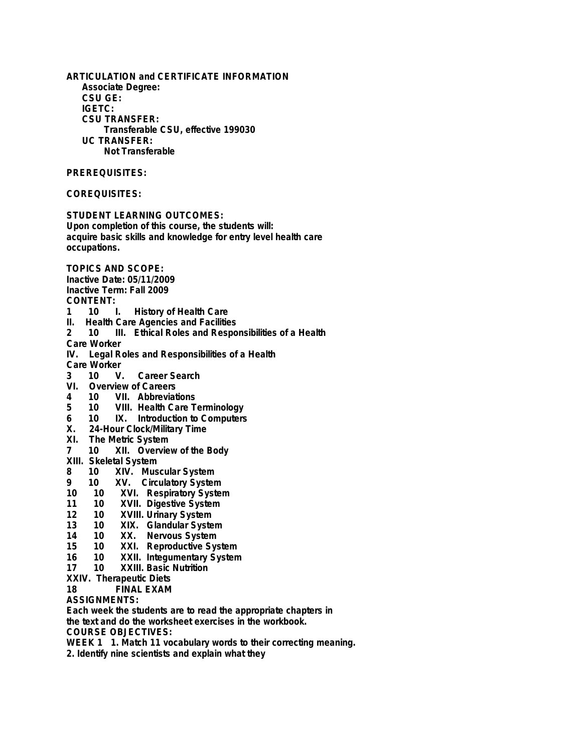**ARTICULATION and CERTIFICATE INFORMATION Associate Degree: CSU GE: IGETC: CSU TRANSFER: Transferable CSU, effective 199030 UC TRANSFER: Not Transferable PREREQUISITES: COREQUISITES: STUDENT LEARNING OUTCOMES: Upon completion of this course, the students will: acquire basic skills and knowledge for entry level health care occupations. TOPICS AND SCOPE: Inactive Date: 05/11/2009 Inactive Term: Fall 2009 CONTENT: 1 10 I. History of Health Care II. Health Care Agencies and Facilities 2 10 III. Ethical Roles and Responsibilities of a Health Care Worker IV. Legal Roles and Responsibilities of a Health** Care Worker<br>3 10 V. **3 10 V. Career Search VI. Overview of Careers 4 10 VII. Abbreviations 5 10 VIII. Health Care Terminology 6 10 IX. Introduction to Computers X. 24-Hour Clock/Military Time XI. The Metric System 7 10 XII. Overview of the Body XIII. Skeletal System 8 10 XIV. Muscular System 9 10 XV. Circulatory System 10 10 XVI. Respiratory System 11 10 XVII. Digestive System 12 10 XVIII. Urinary System 13 10 XIX. Glandular System 14 10 XX. Nervous System 15 10 XXI. Reproductive System 16 10 XXII. Integumentary System 17 10 XXIII. Basic Nutrition XXIV. Therapeutic Diets FINAL EXAM ASSIGNMENTS: Each week the students are to read the appropriate chapters in the text and do the worksheet exercises in the workbook.**

**COURSE OBJECTIVES:**

**WEEK 1 1. Match 11 vocabulary words to their correcting meaning.**

**2. Identify nine scientists and explain what they**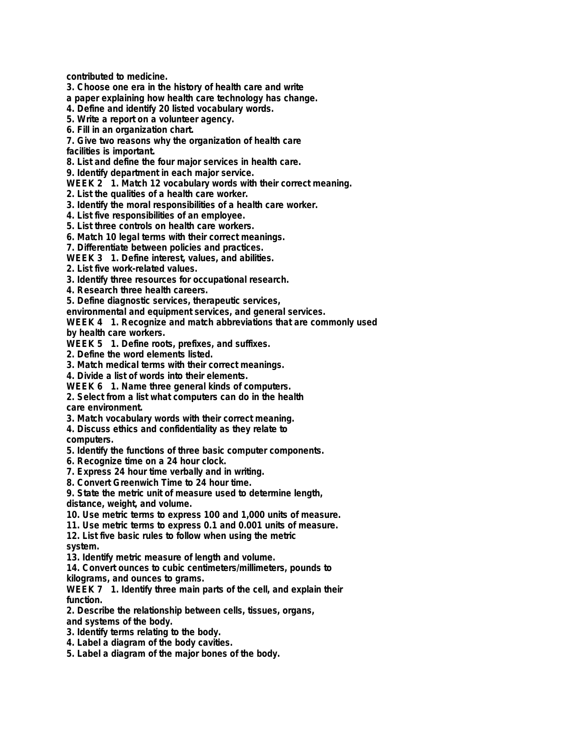**contributed to medicine.**

**3. Choose one era in the history of health care and write**

**a paper explaining how health care technology has change.**

**4. Define and identify 20 listed vocabulary words.**

**5. Write a report on a volunteer agency.**

**6. Fill in an organization chart.**

**7. Give two reasons why the organization of health care**

**facilities is important.**

**8. List and define the four major services in health care.**

**9. Identify department in each major service.**

**WEEK 2 1. Match 12 vocabulary words with their correct meaning.**

**2. List the qualities of a health care worker.**

**3. Identify the moral responsibilities of a health care worker.**

**4. List five responsibilities of an employee.**

**5. List three controls on health care workers.**

**6. Match 10 legal terms with their correct meanings.**

**7. Differentiate between policies and practices.**

**WEEK 3 1. Define interest, values, and abilities.**

**2. List five work-related values.**

**3. Identify three resources for occupational research.**

**4. Research three health careers.**

**5. Define diagnostic services, therapeutic services,**

**environmental and equipment services, and general services.**

**WEEK 4 1. Recognize and match abbreviations that are commonly used by health care workers.**

**WEEK 5 1. Define roots, prefixes, and suffixes.**

**2. Define the word elements listed.**

**3. Match medical terms with their correct meanings.**

**4. Divide a list of words into their elements.**

**WEEK 6 1. Name three general kinds of computers.**

**2. Select from a list what computers can do in the health care environment.**

**3. Match vocabulary words with their correct meaning.**

**4. Discuss ethics and confidentiality as they relate to computers.**

**5. Identify the functions of three basic computer components.**

**6. Recognize time on a 24 hour clock.**

**7. Express 24 hour time verbally and in writing.**

**8. Convert Greenwich Time to 24 hour time.**

**9. State the metric unit of measure used to determine length,**

**distance, weight, and volume.**

**10. Use metric terms to express 100 and 1,000 units of measure.**

**11. Use metric terms to express 0.1 and 0.001 units of measure.**

**12. List five basic rules to follow when using the metric system.**

**13. Identify metric measure of length and volume.**

**14. Convert ounces to cubic centimeters/millimeters, pounds to kilograms, and ounces to grams.**

**WEEK 7 1. Identify three main parts of the cell, and explain their function.**

**2. Describe the relationship between cells, tissues, organs,**

**and systems of the body.**

- **3. Identify terms relating to the body.**
- **4. Label a diagram of the body cavities.**

**5. Label a diagram of the major bones of the body.**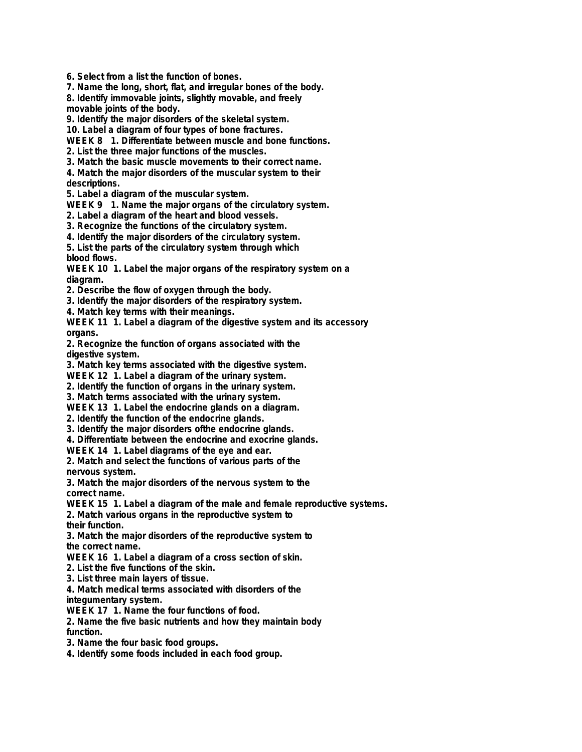**6. Select from a list the function of bones.**

**7. Name the long, short, flat, and irregular bones of the body. 8. Identify immovable joints, slightly movable, and freely**

**movable joints of the body.**

**9. Identify the major disorders of the skeletal system.**

**10. Label a diagram of four types of bone fractures.**

**WEEK 8 1. Differentiate between muscle and bone functions.**

**2. List the three major functions of the muscles.**

**3. Match the basic muscle movements to their correct name.**

**4. Match the major disorders of the muscular system to their descriptions.**

**5. Label a diagram of the muscular system.**

**WEEK 9 1. Name the major organs of the circulatory system.**

**2. Label a diagram of the heart and blood vessels.**

**3. Recognize the functions of the circulatory system.**

**4. Identify the major disorders of the circulatory system.**

**5. List the parts of the circulatory system through which blood flows.**

**WEEK 10 1. Label the major organs of the respiratory system on a diagram.**

**2. Describe the flow of oxygen through the body.**

**3. Identify the major disorders of the respiratory system.**

**4. Match key terms with their meanings.**

**WEEK 11 1. Label a diagram of the digestive system and its accessory organs.**

**2. Recognize the function of organs associated with the digestive system.**

**3. Match key terms associated with the digestive system.**

**WEEK 12 1. Label a diagram of the urinary system.**

**2. Identify the function of organs in the urinary system.**

**3. Match terms associated with the urinary system.**

**WEEK 13 1. Label the endocrine glands on a diagram.**

**2. Identify the function of the endocrine glands.**

**3. Identify the major disorders ofthe endocrine glands.**

**4. Differentiate between the endocrine and exocrine glands.**

**WEEK 14 1. Label diagrams of the eye and ear.**

**2. Match and select the functions of various parts of the nervous system.**

**3. Match the major disorders of the nervous system to the correct name.**

**WEEK 15 1. Label a diagram of the male and female reproductive systems.**

**2. Match various organs in the reproductive system to their function.**

**3. Match the major disorders of the reproductive system to**

**the correct name.**

**WEEK 16 1. Label a diagram of a cross section of skin.**

**2. List the five functions of the skin.**

**3. List three main layers of tissue.**

**4. Match medical terms associated with disorders of the integumentary system.**

**WEEK 17 1. Name the four functions of food.**

**2. Name the five basic nutrients and how they maintain body function.**

**3. Name the four basic food groups.**

**4. Identify some foods included in each food group.**